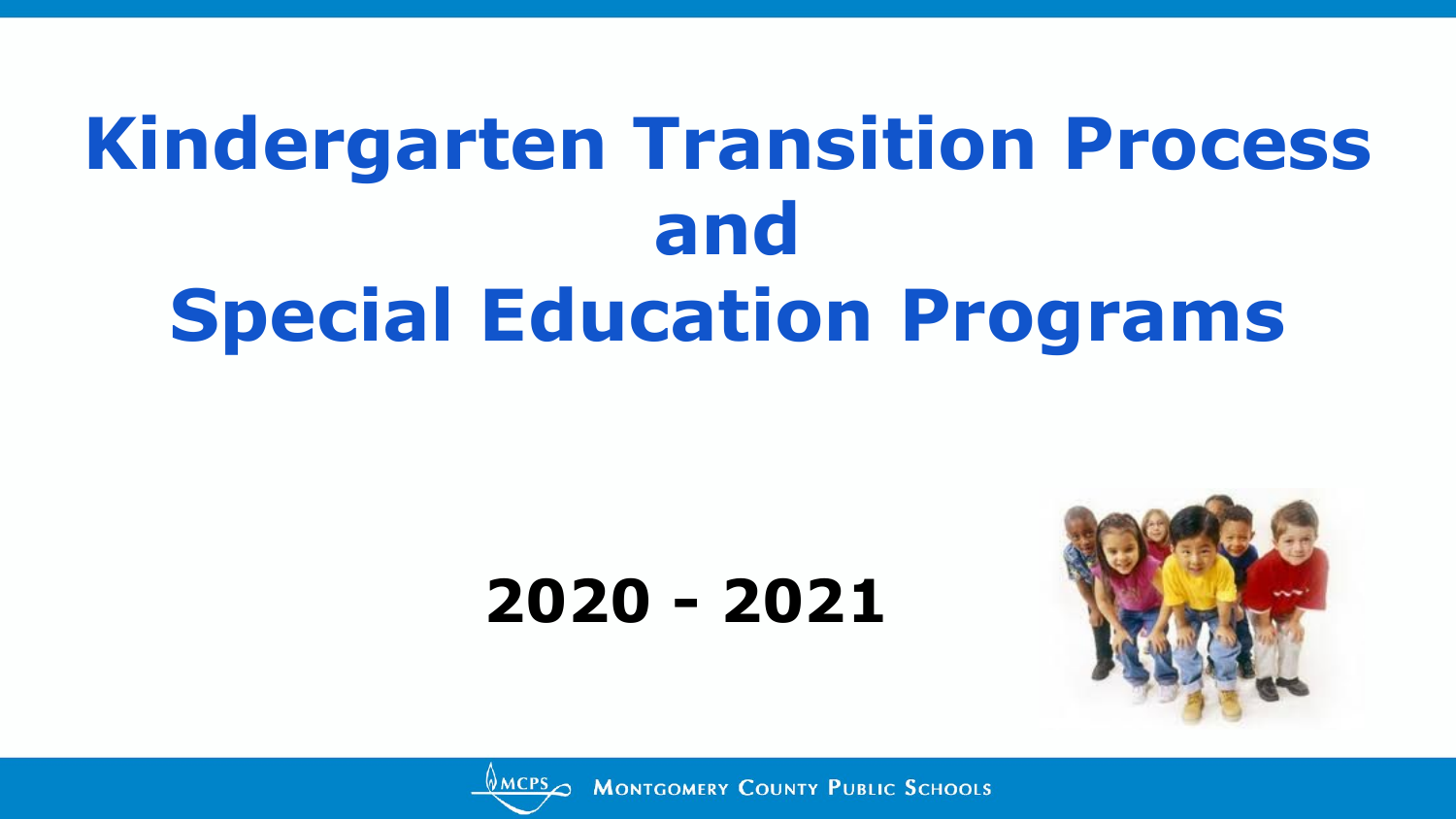## **Kindergarten Transition Process and Special Education Programs**

### **2020 - 2021**



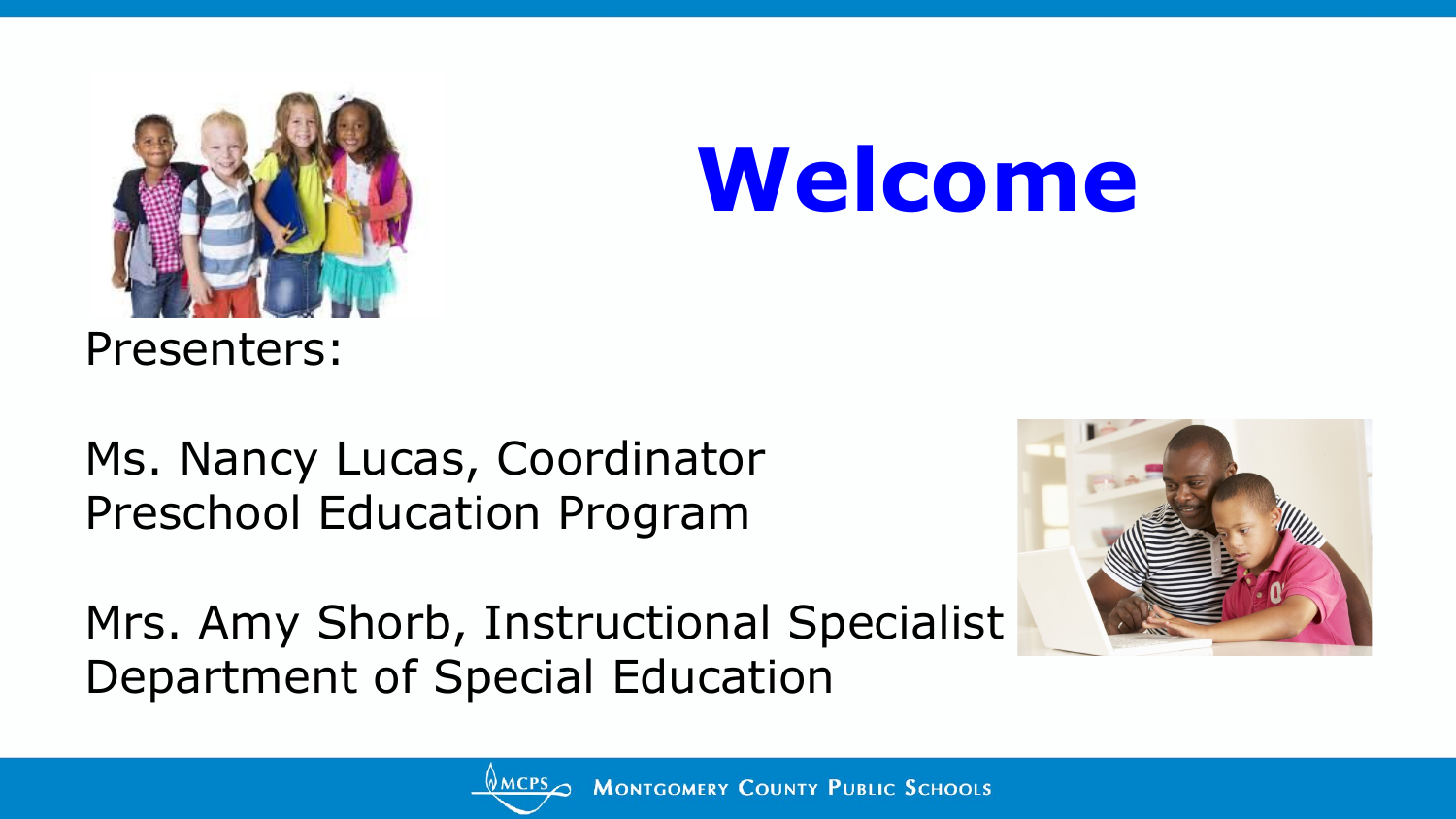

## **Welcome**

Presenters:

Ms. Nancy Lucas, Coordinator Preschool Education Program

Mrs. Amy Shorb, Instructional Specialist Department of Special Education



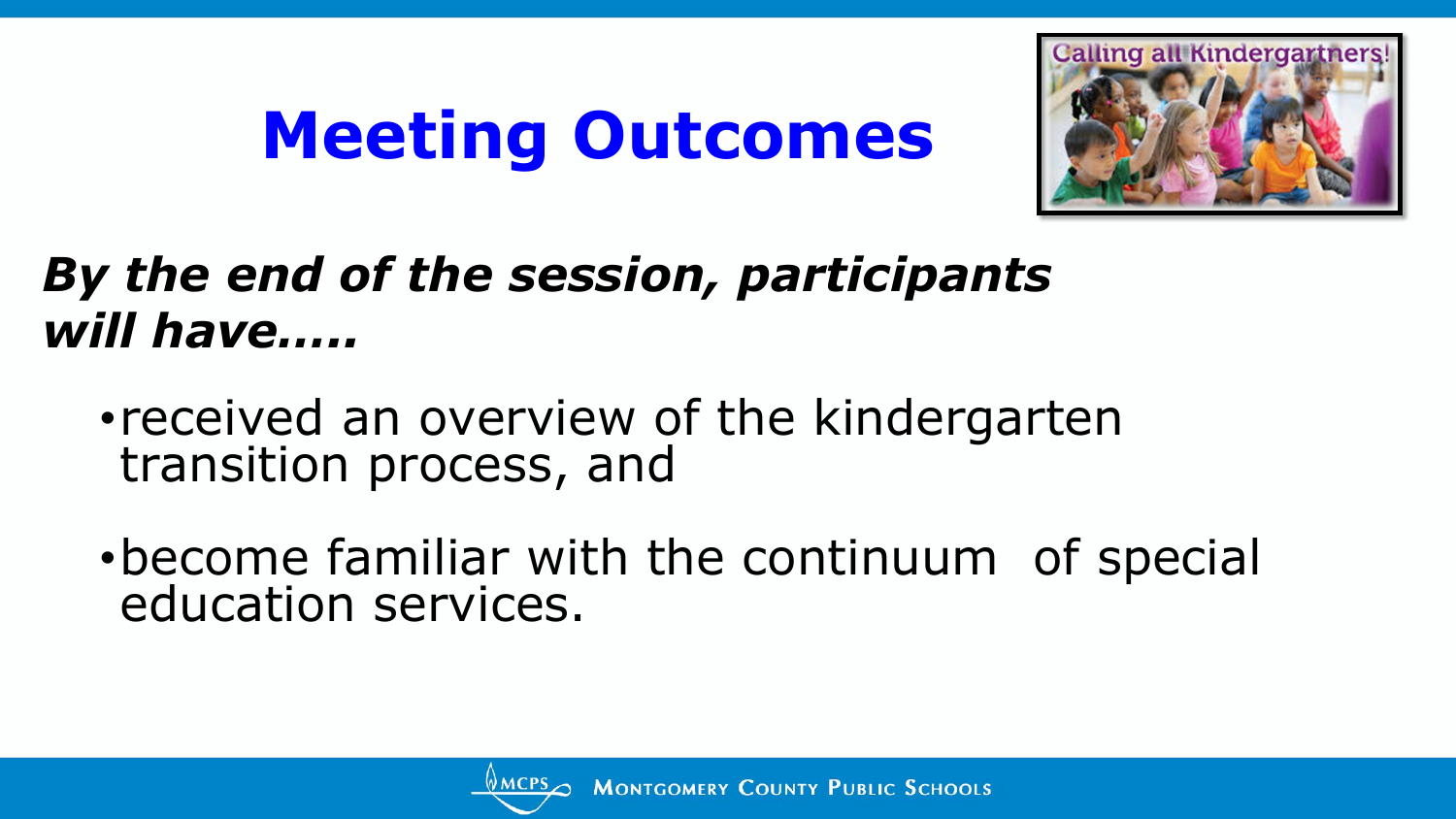## **Meeting Outcomes**



#### *By the end of the session, participants will have…..*

- •received an overview of the kindergarten transition process, and
- •become familiar with the continuum of special education services.

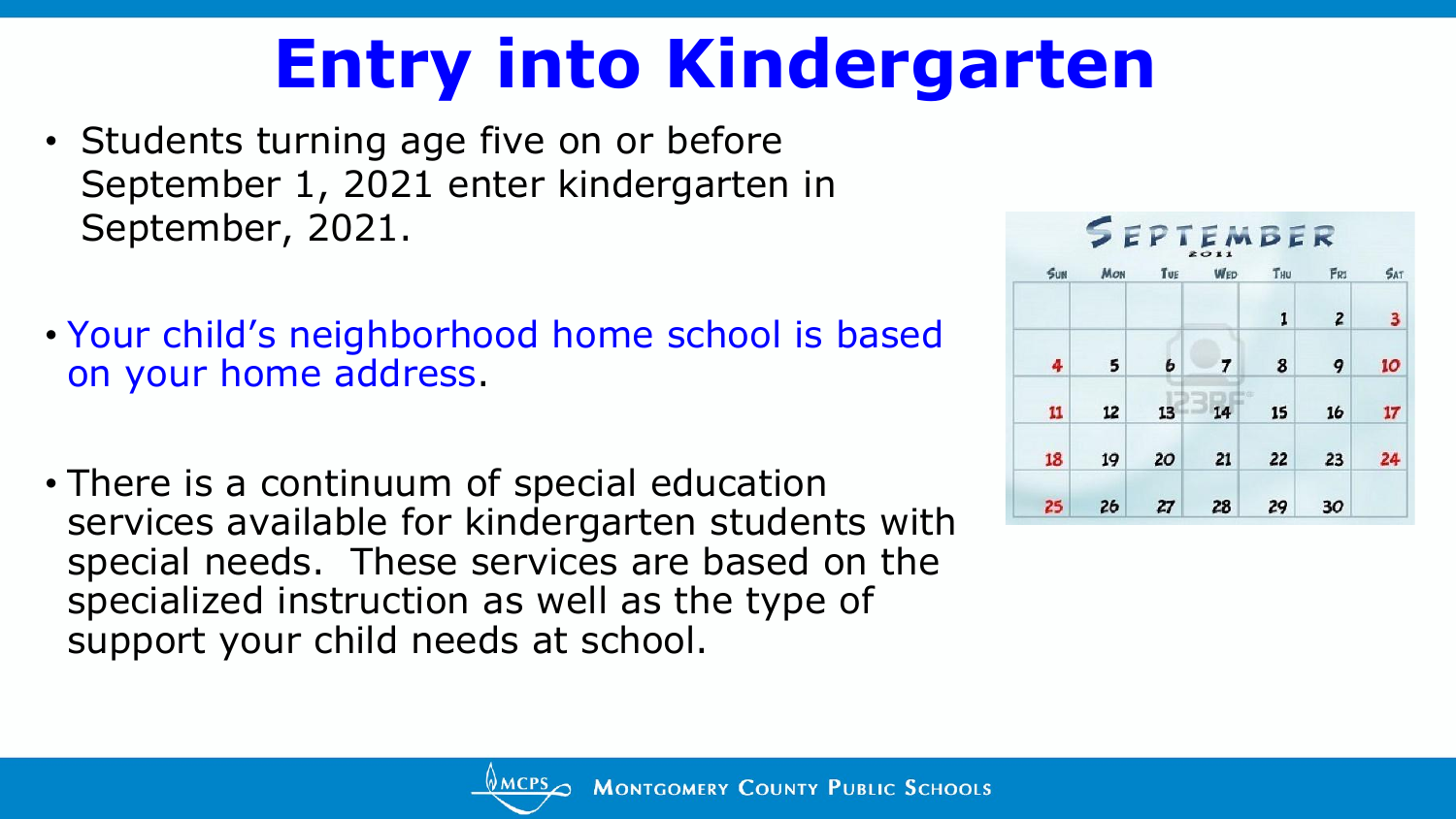## **Entry into Kindergarten**

- Students turning age five on or before September 1, 2021 enter kindergarten in September, 2021.
- Your child's neighborhood home school is based on your home address.
- There is a continuum of special education services available for kindergarten students with special needs. These services are based on the specialized instruction as well as the type of support your child needs at school.



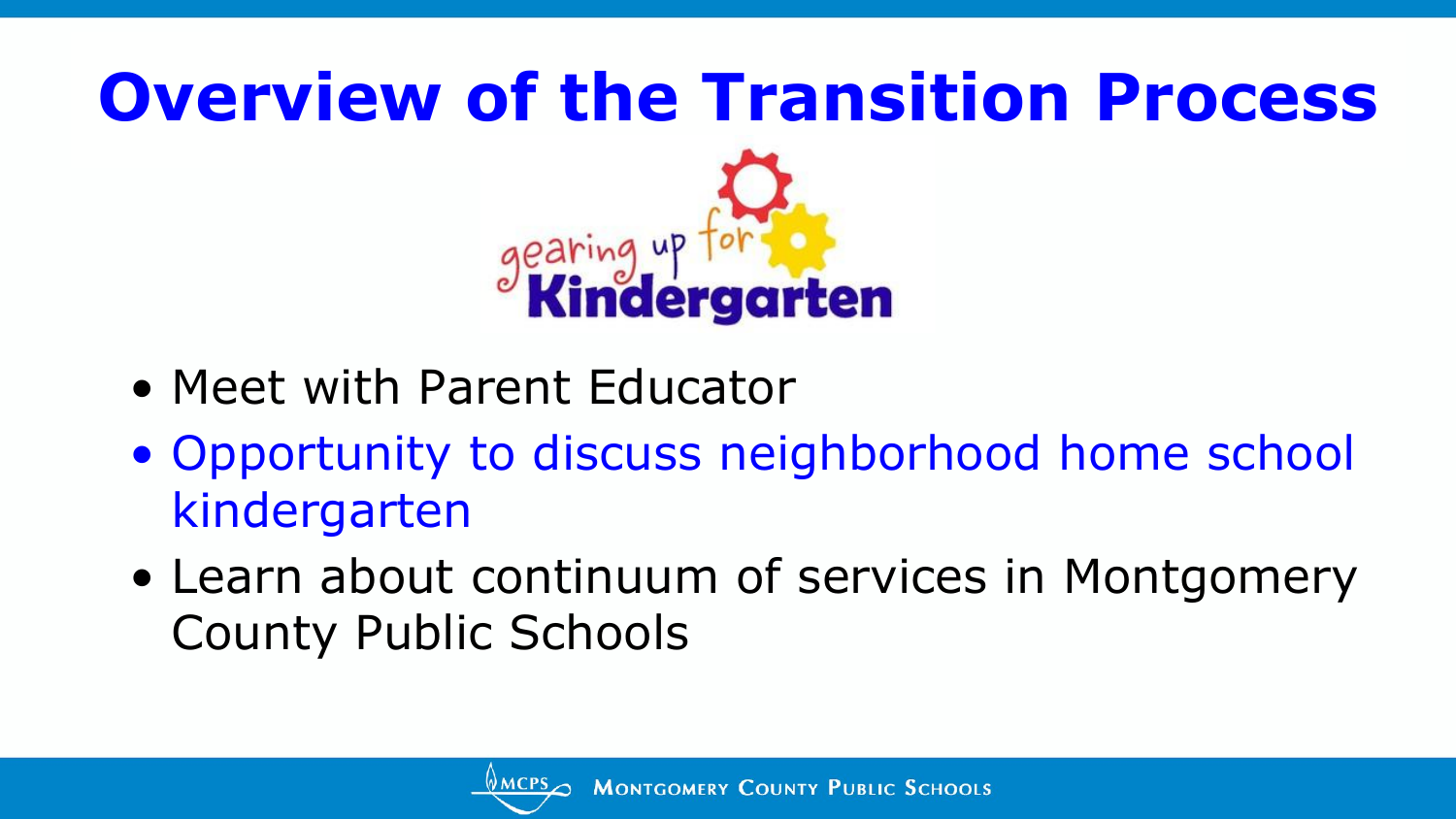

- Meet with Parent Educator
- Opportunity to discuss neighborhood home school kindergarten
- Learn about continuum of services in Montgomery County Public Schools

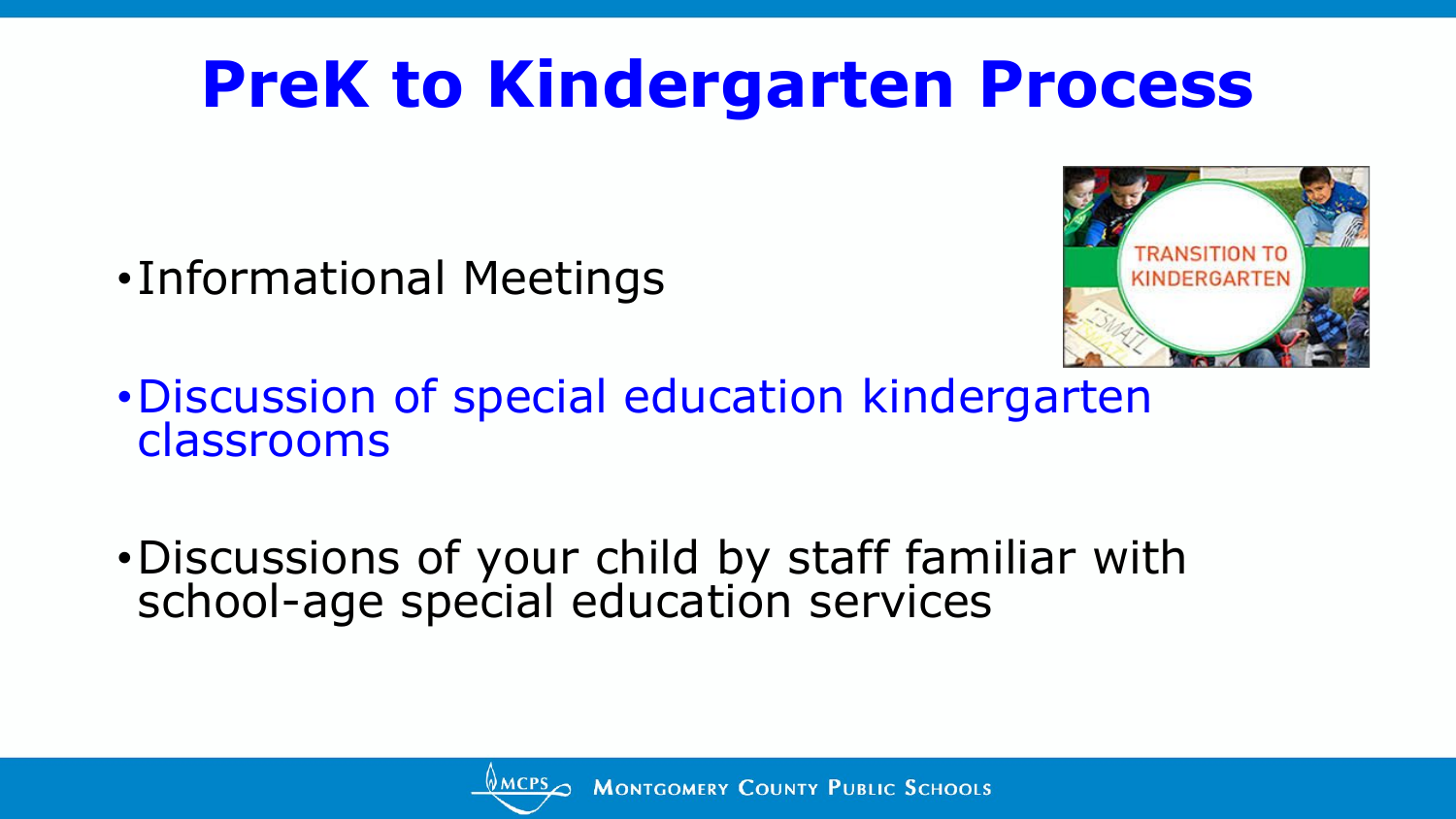### **PreK to Kindergarten Process**

•Informational Meetings



- •Discussion of special education kindergarten classrooms
- •Discussions of your child by staff familiar with school-age special education services

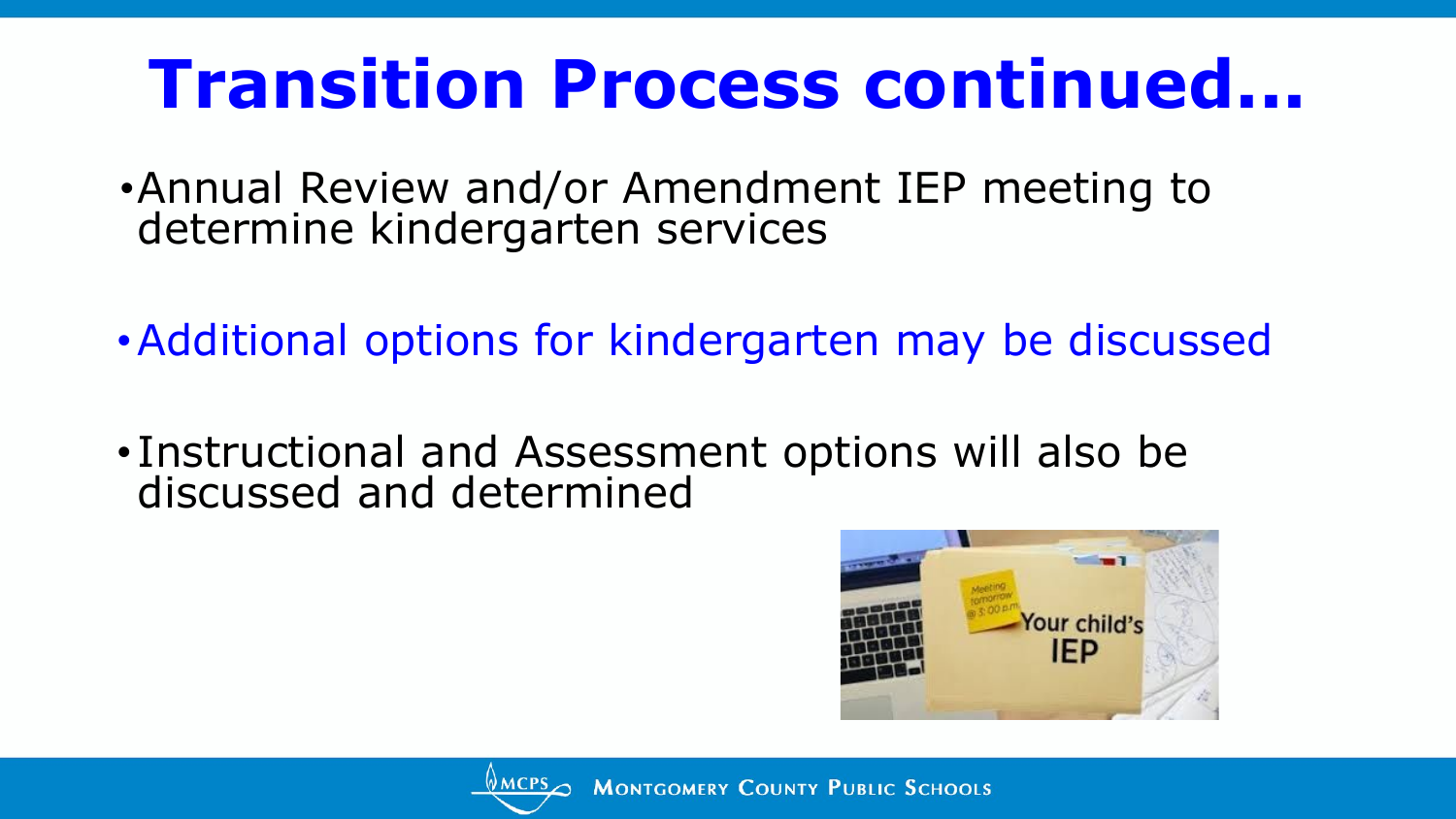## **Transition Process continued...**

- •Annual Review and/or Amendment IEP meeting to determine kindergarten services
- •Additional options for kindergarten may be discussed
- Instructional and Assessment options will also be discussed and determined



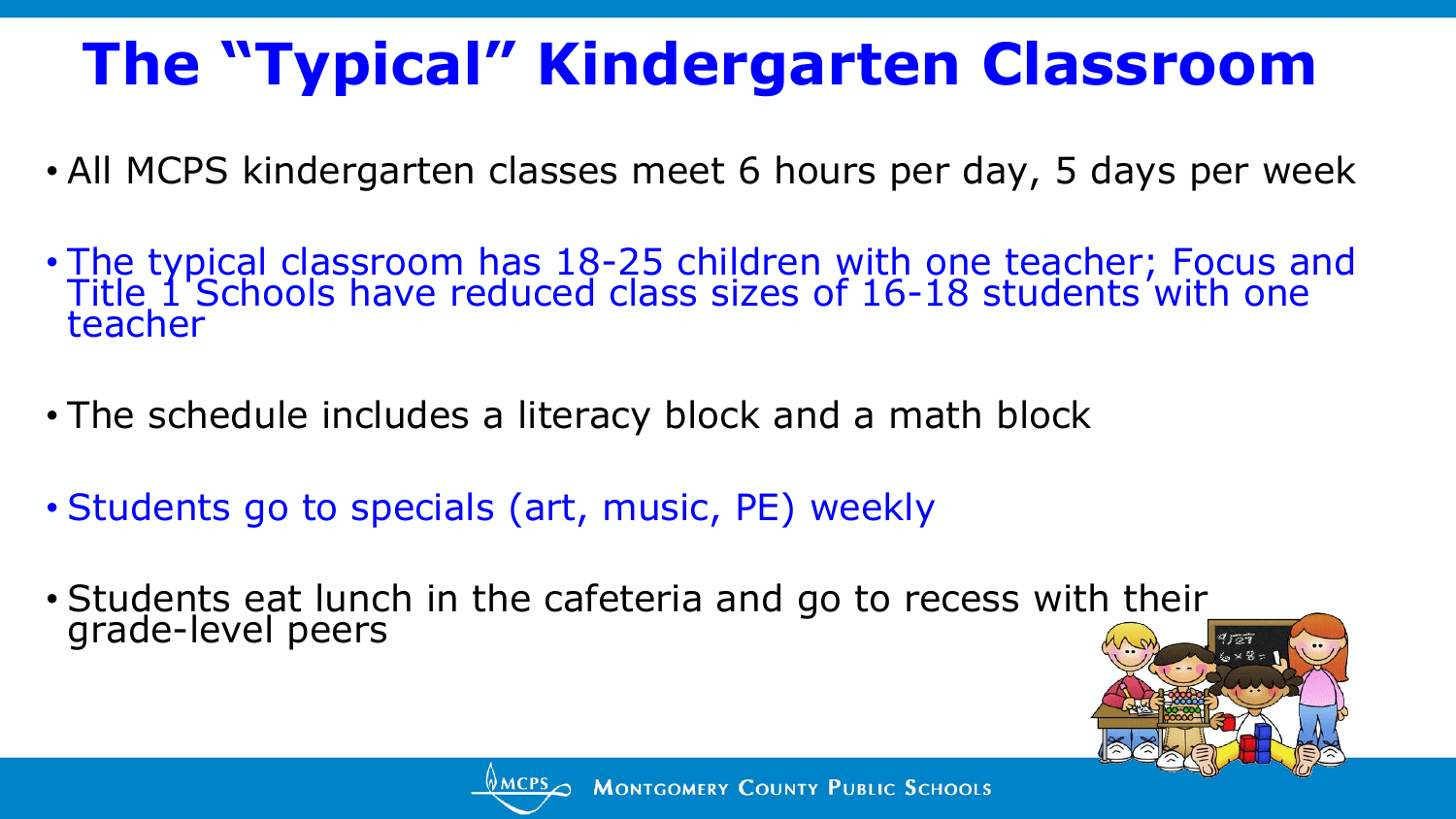### **The "Typical" Kindergarten Classroom**

- All MCPS kindergarten classes meet 6 hours per day, 5 days per week
- The typical classroom has 18-25 children with one teacher; Focus and Title 1 Schools have reduced class sizes of 16-18 students with one teacher
- The schedule includes a literacy block and a math block
- Students go to specials (art, music, PE) weekly
- Students eat lunch in the cafeteria and go to recess with their\_ grade-level peers



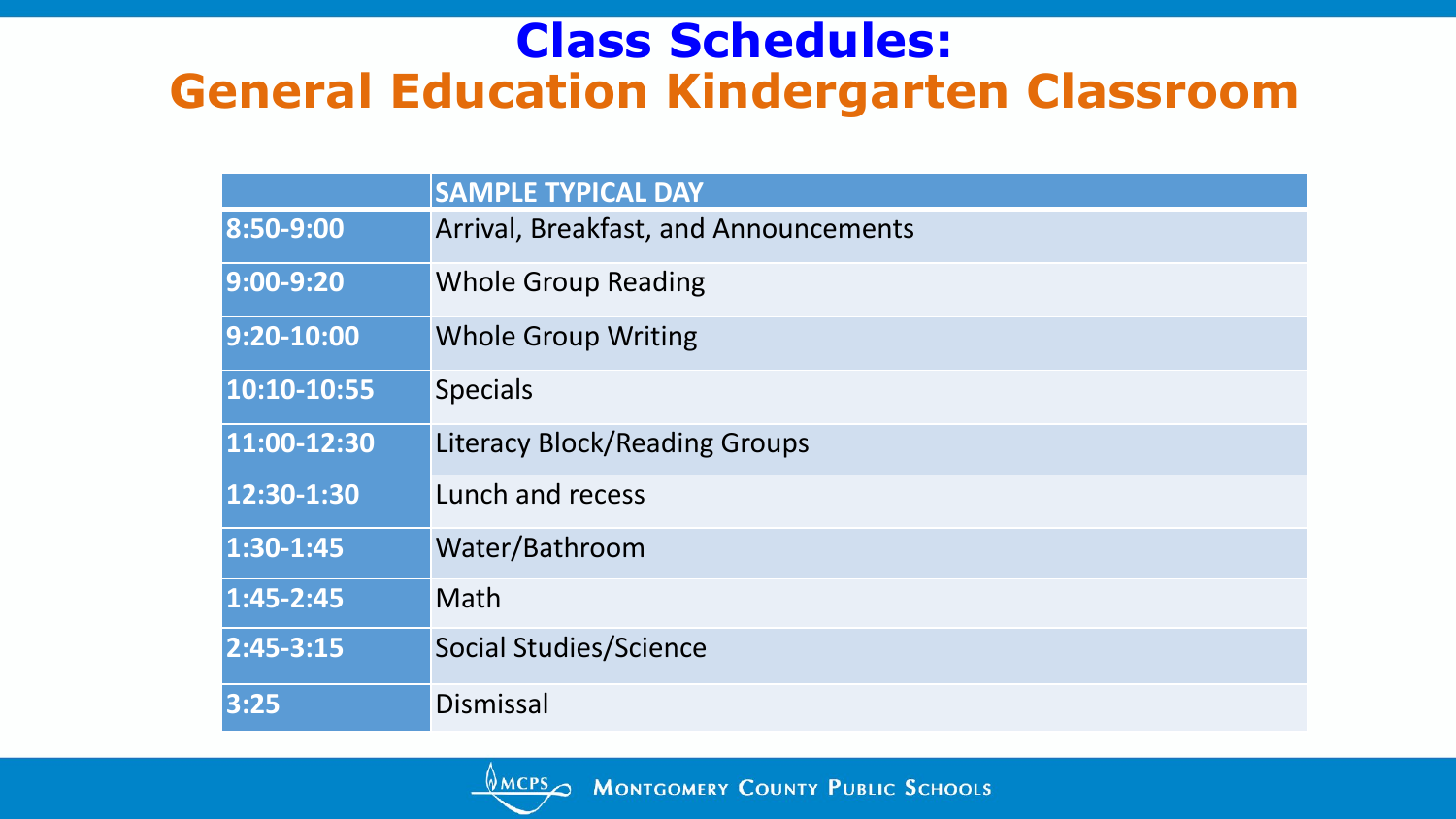#### **Class Schedules: General Education Kindergarten Classroom**

|               | <b>SAMPLE TYPICAL DAY</b>             |
|---------------|---------------------------------------|
| 8:50-9:00     | Arrival, Breakfast, and Announcements |
| $9:00 - 9:20$ | <b>Whole Group Reading</b>            |
| 9:20-10:00    | <b>Whole Group Writing</b>            |
| 10:10-10:55   | <b>Specials</b>                       |
| 11:00-12:30   | <b>Literacy Block/Reading Groups</b>  |
| 12:30-1:30    | Lunch and recess                      |
| 1:30-1:45     | Water/Bathroom                        |
| 1:45-2:45     | Math                                  |
| 2:45-3:15     | <b>Social Studies/Science</b>         |
| 3:25          | Dismissal                             |

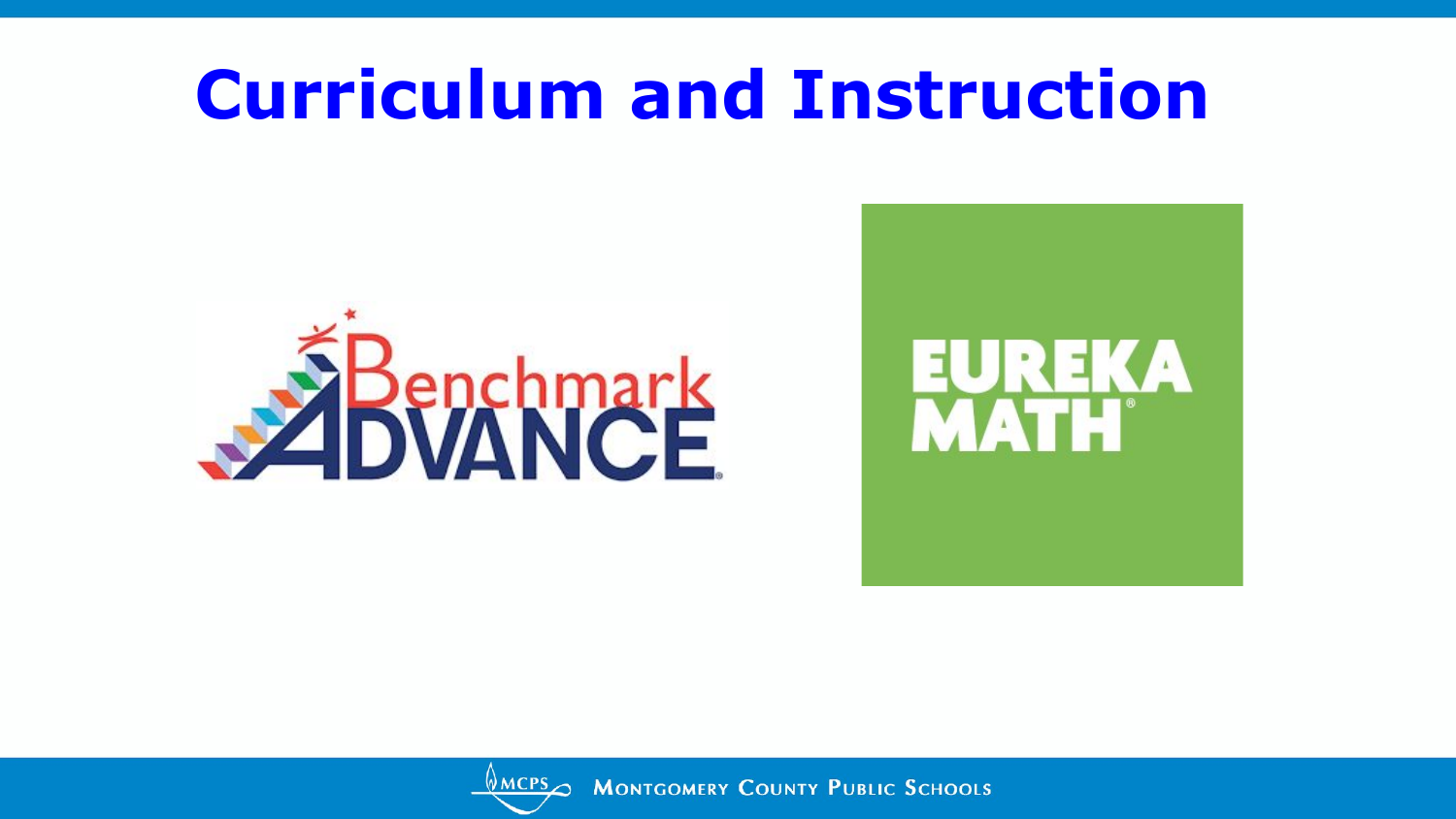### **Curriculum and Instruction**







MCPSO MONTGOMERY COUNTY PUBLIC SCHOOLS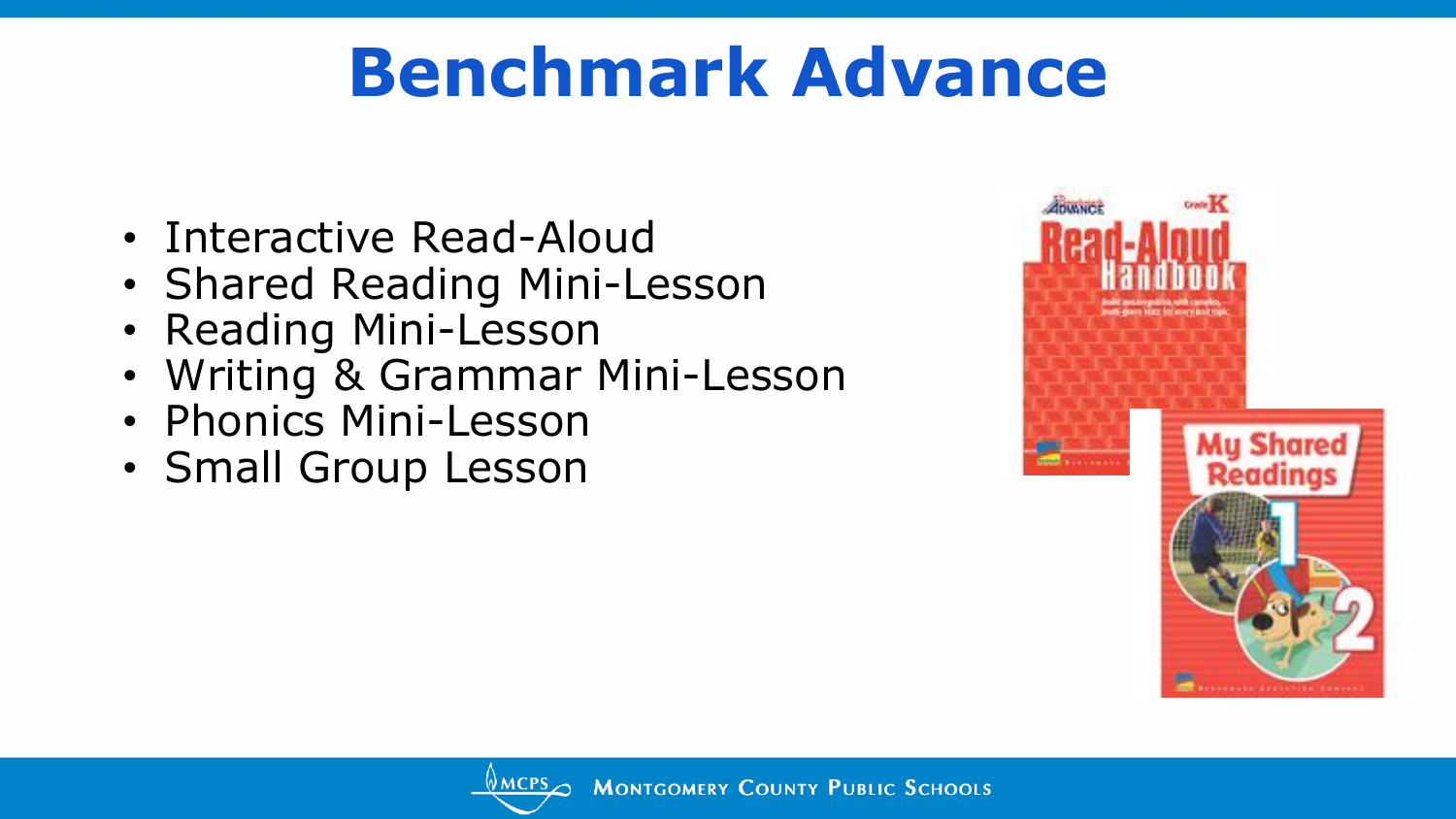## **Benchmark Advance**

- Interactive Read-Aloud
- Shared Reading Mini-Lesson
- Reading Mini-Lesson
- Writing & Grammar Mini-Lesson
- Phonics Mini-Lesson
- Small Group Lesson



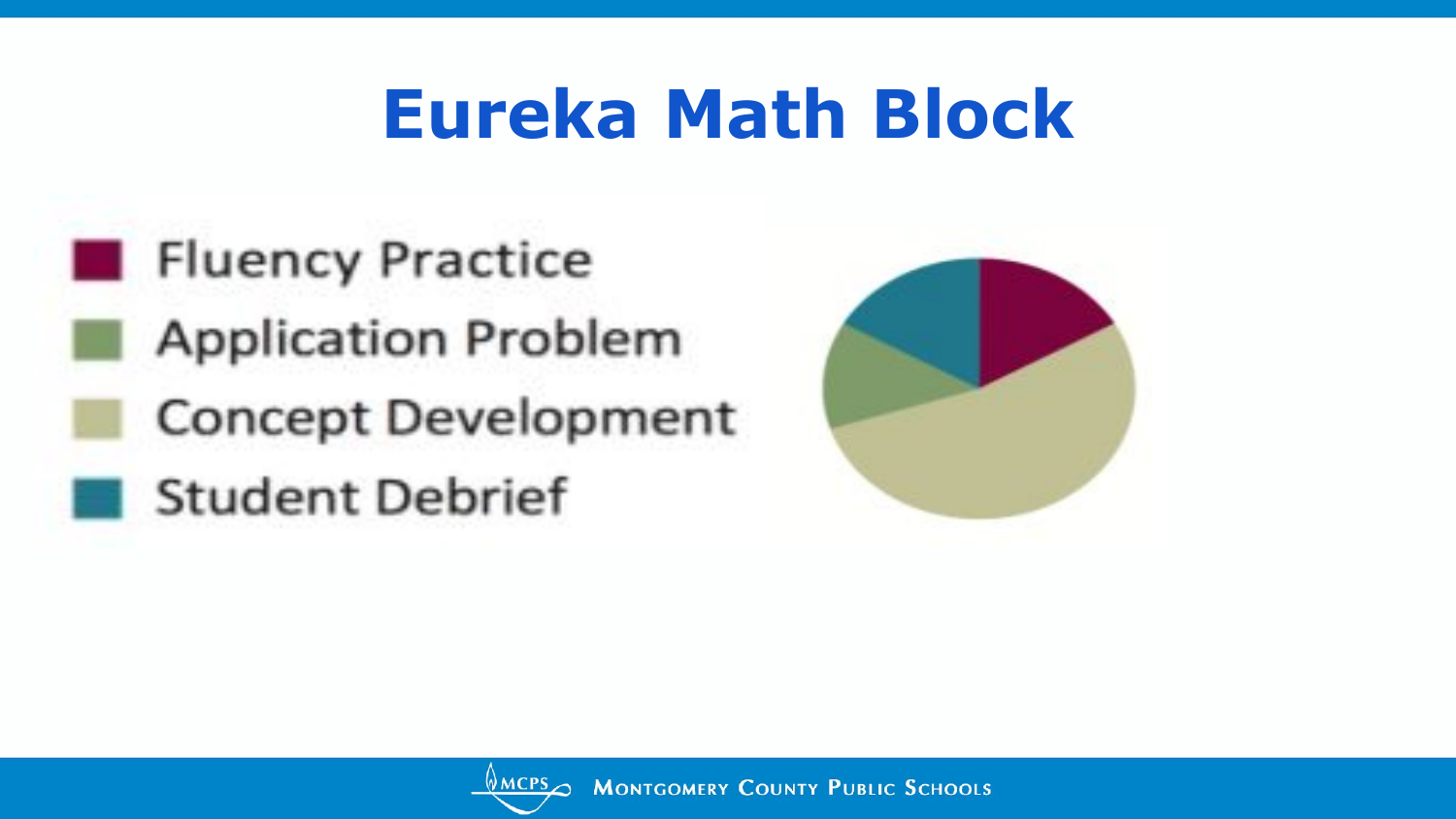## **Eureka Math Block**





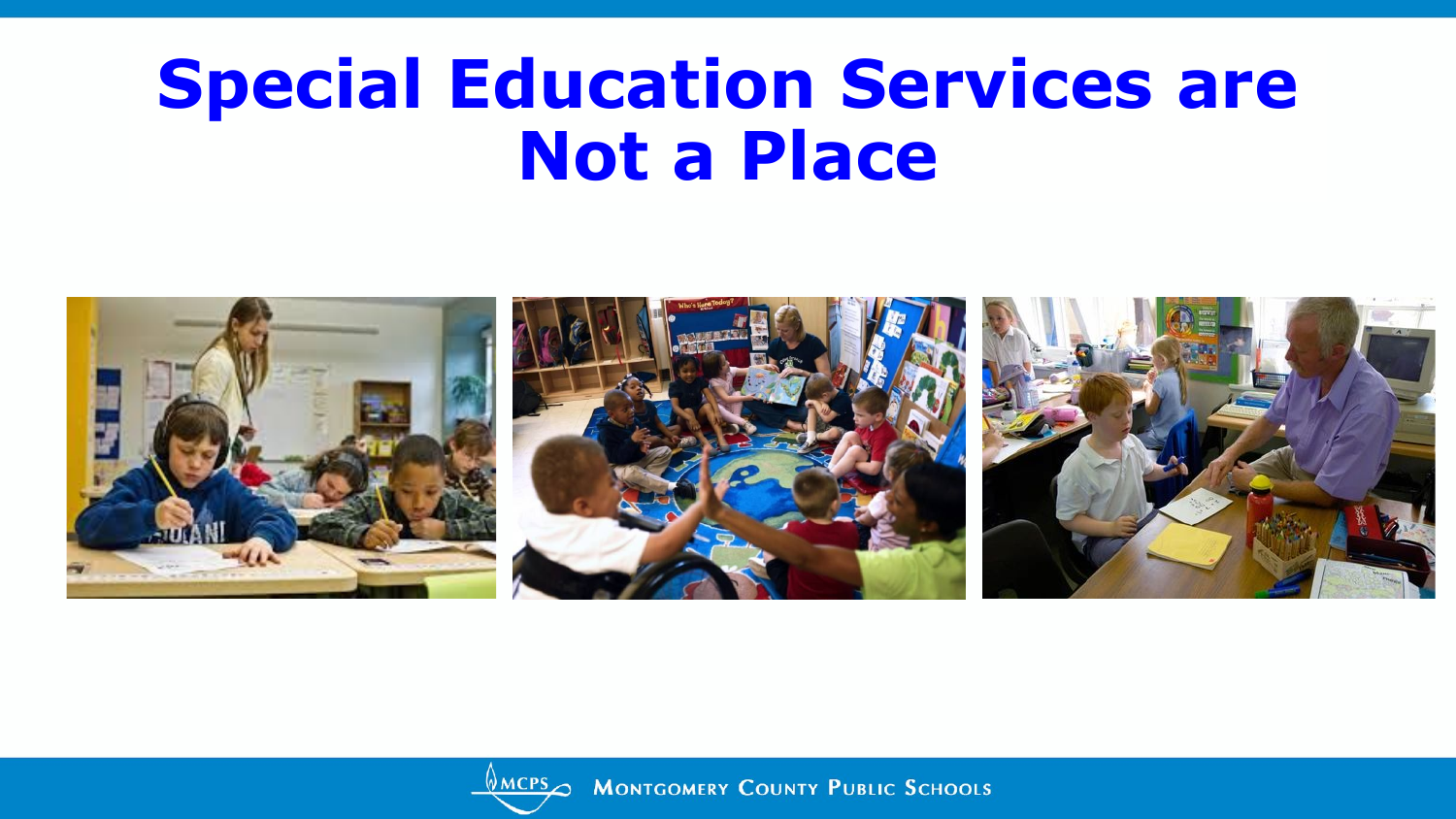### **Special Education Services are Not a Place**





**AMCPS MONTGOMERY COUNTY PUBLIC SCHOOLS**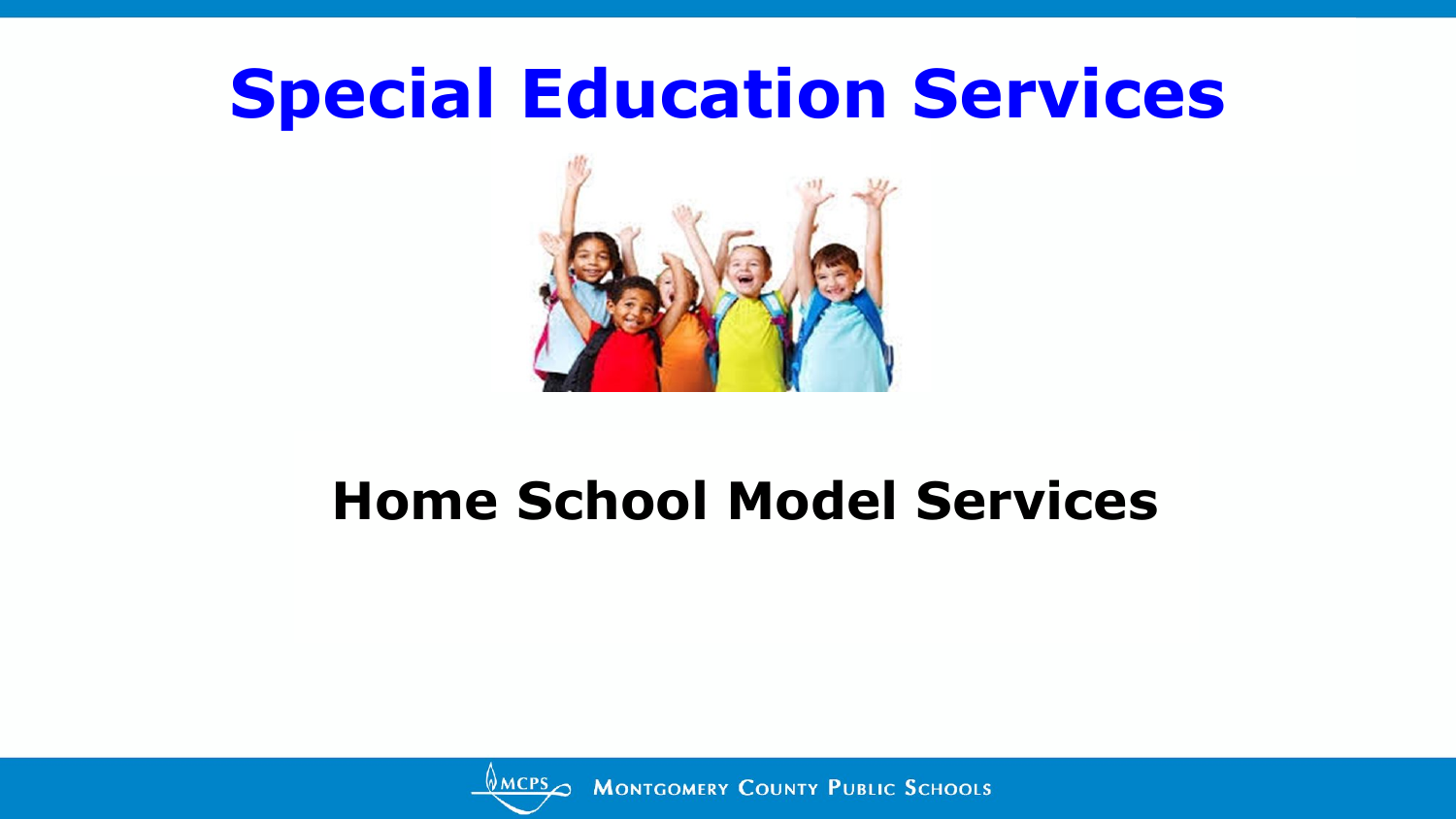

#### **Home School Model Services**



MCPS MONTGOMERY COUNTY PUBLIC SCHOOLS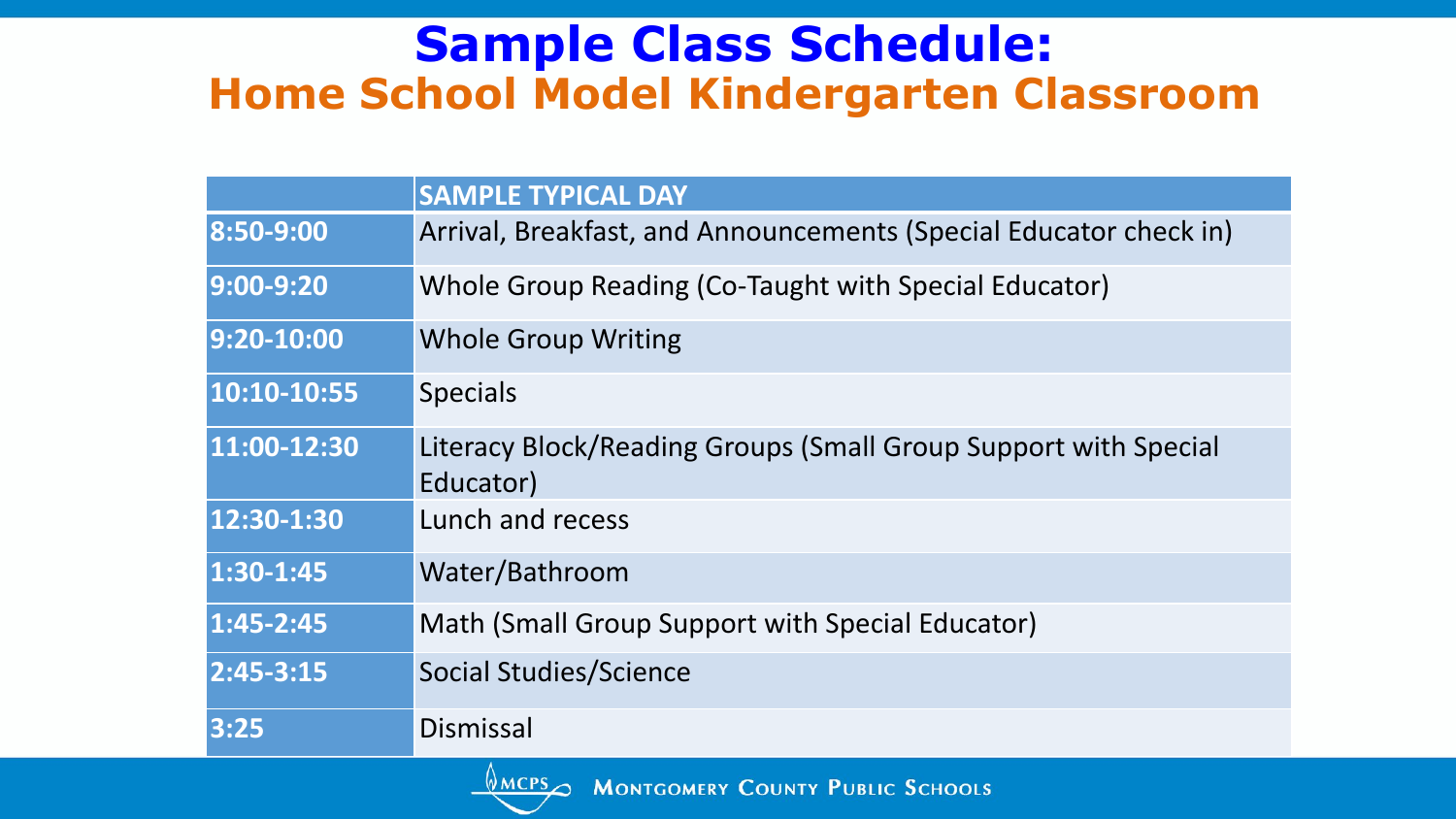#### **Sample Class Schedule: Home School Model Kindergarten Classroom**

|                        | <b>SAMPLE TYPICAL DAY</b>                                                    |
|------------------------|------------------------------------------------------------------------------|
| 8:50-9:00              | Arrival, Breakfast, and Announcements (Special Educator check in)            |
| 9:00-9:20              | Whole Group Reading (Co-Taught with Special Educator)                        |
| 9:20-10:00             | <b>Whole Group Writing</b>                                                   |
| 10:10-10:55            | <b>Specials</b>                                                              |
| 11:00-12:30            | Literacy Block/Reading Groups (Small Group Support with Special<br>Educator) |
| 12:30-1:30             | Lunch and recess                                                             |
| 1:30-1:45              | Water/Bathroom                                                               |
| $1:45 - 2:45$          | Math (Small Group Support with Special Educator)                             |
| $\overline{2:45-3:15}$ | <b>Social Studies/Science</b>                                                |
| 3:25                   | Dismissal                                                                    |

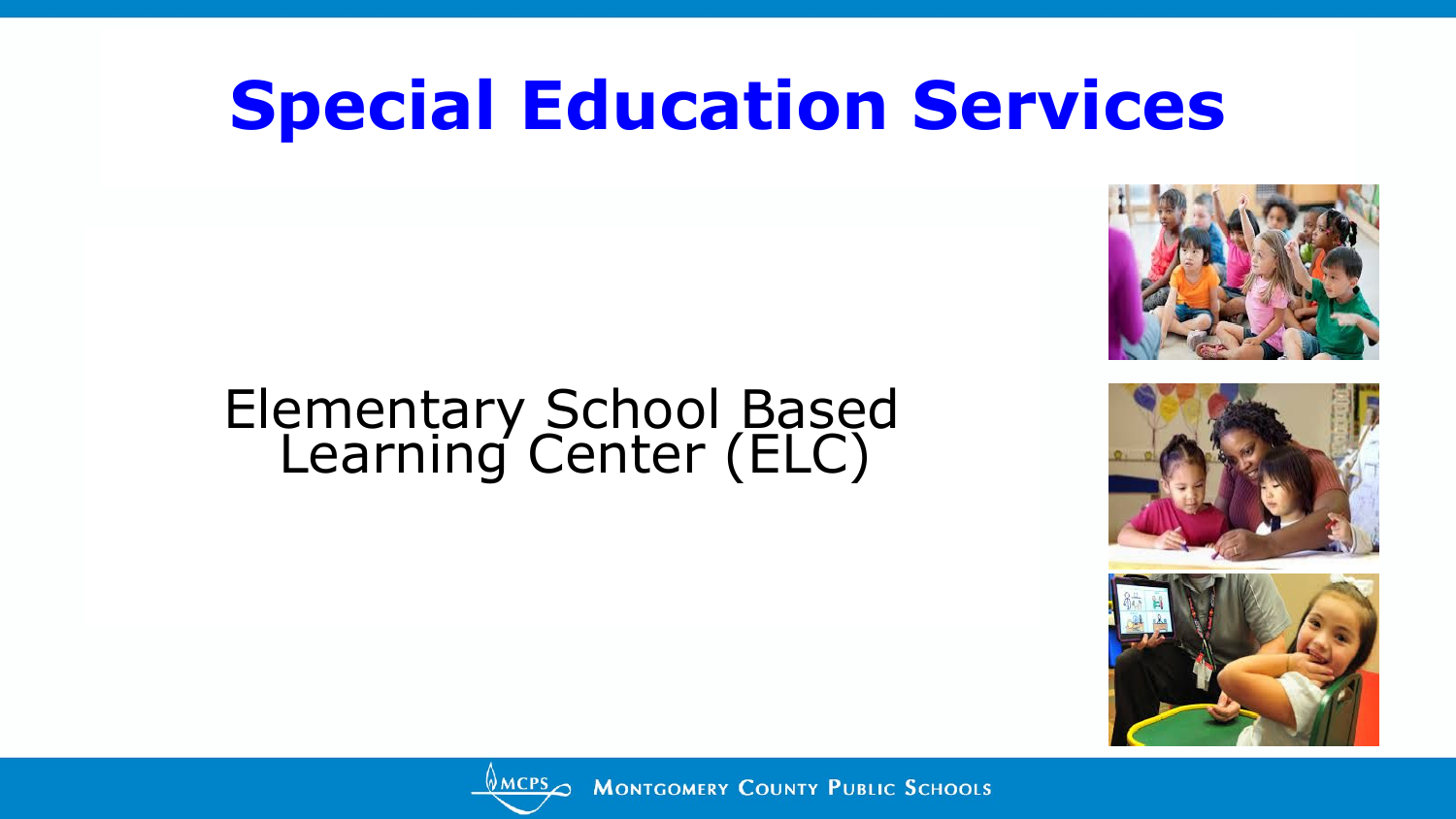#### Elementary School Based Learning Center (ELC)







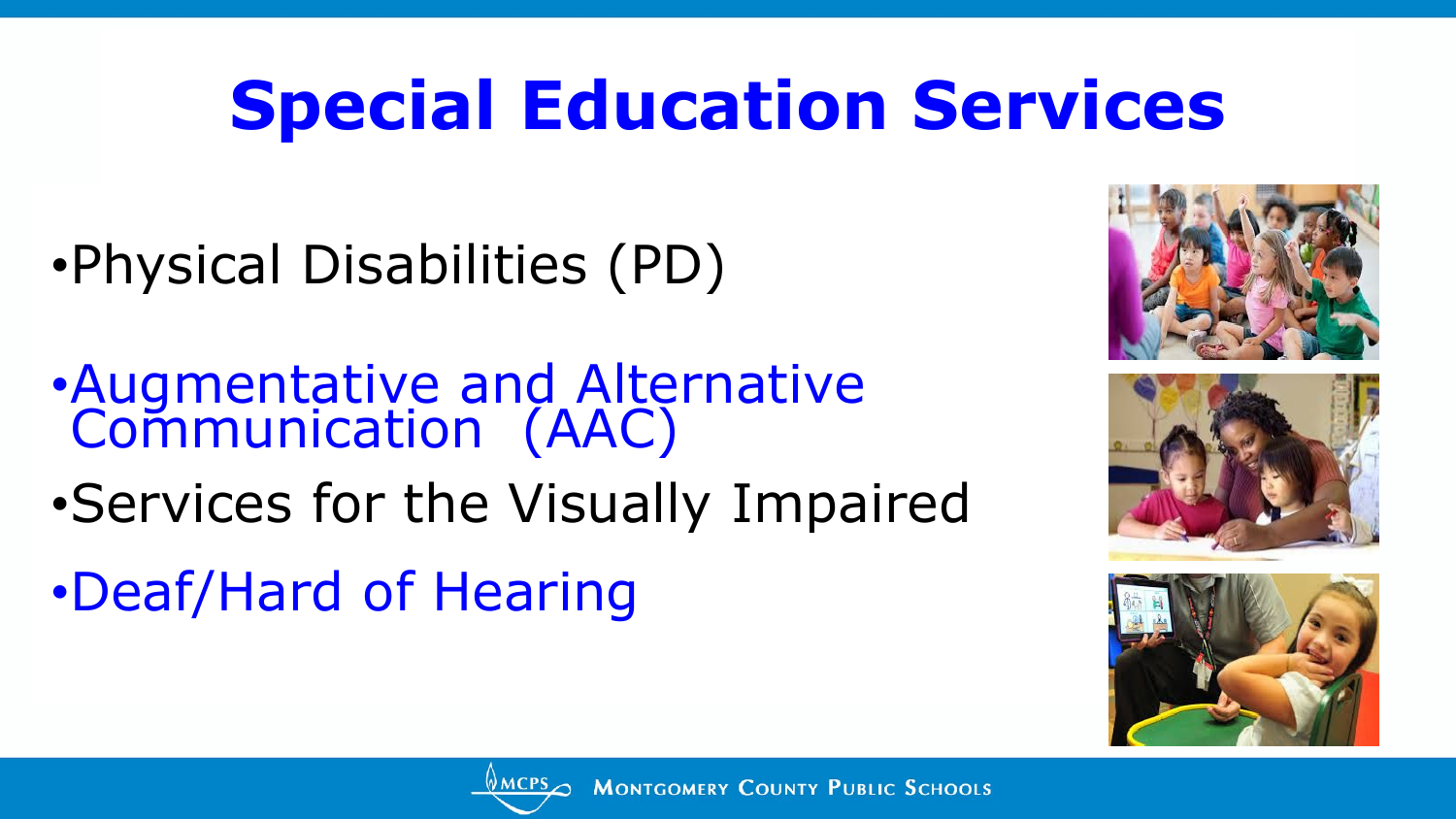•Physical Disabilities (PD)

- •Augmentative and Alternative Communication (AAC)
- •Services for the Visually Impaired
- •Deaf/Hard of Hearing







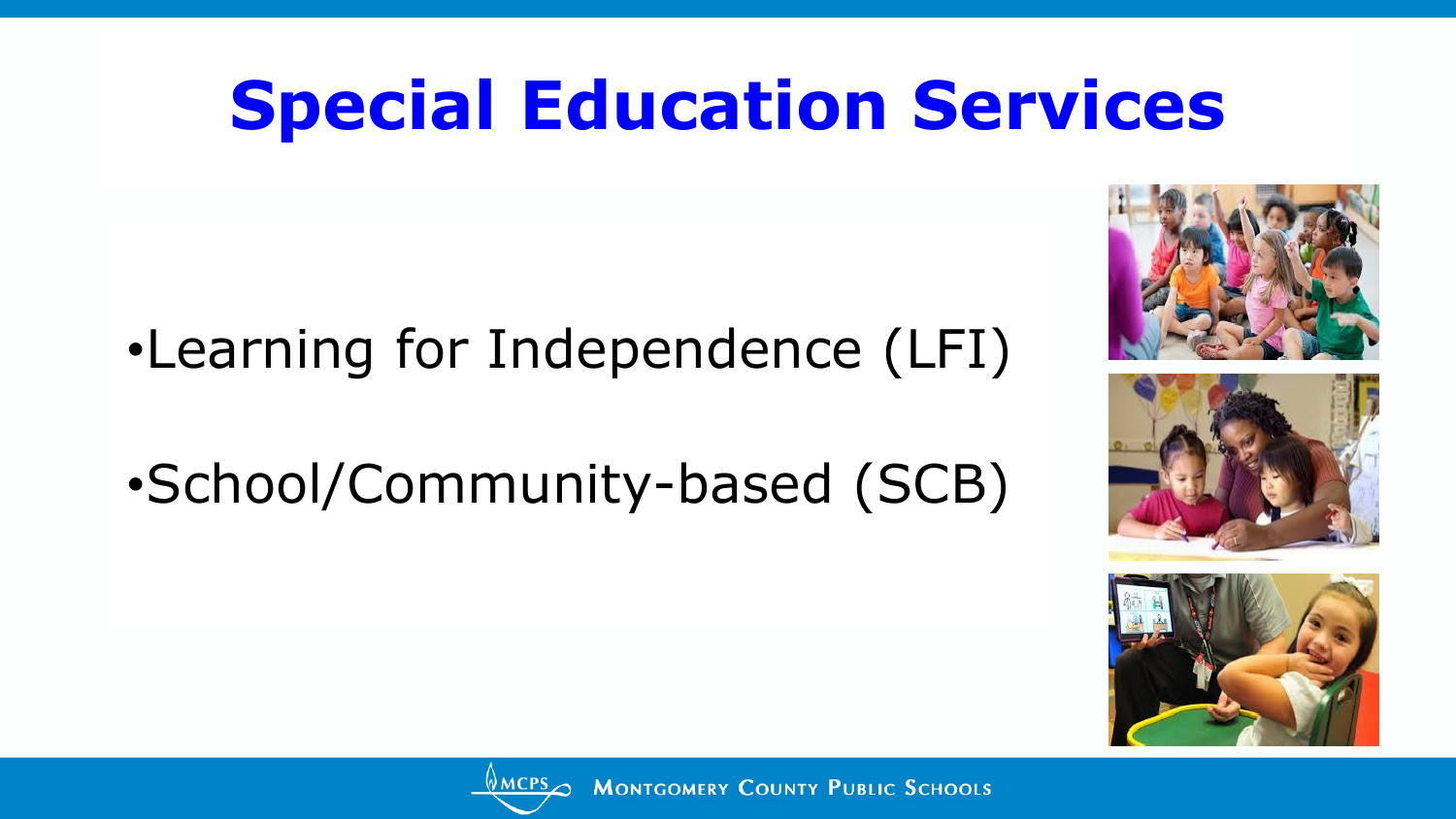- •Learning for Independence (LFI)
- •School/Community-based (SCB)







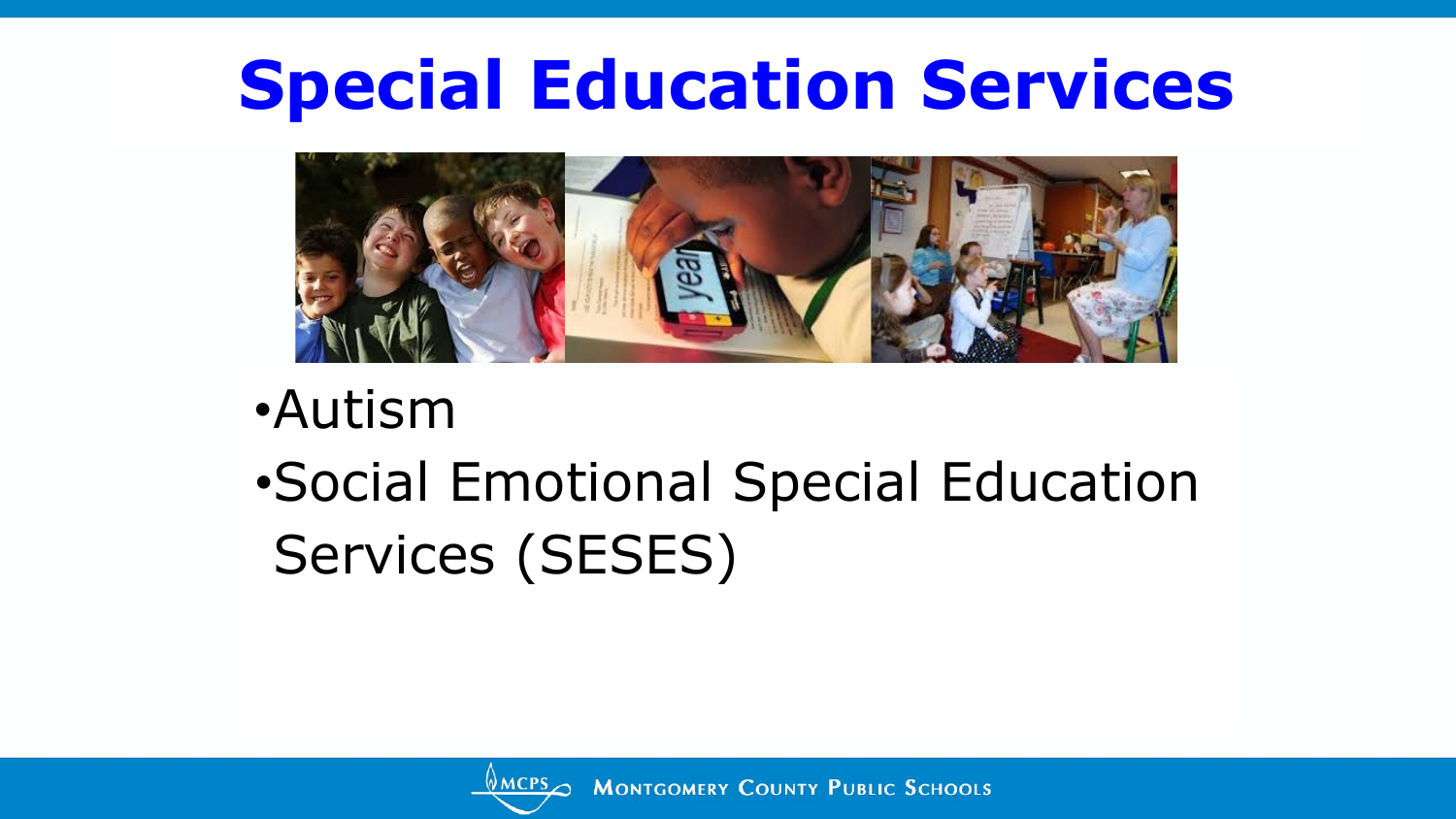

- •Autism
- •Social Emotional Special Education Services (SESES)

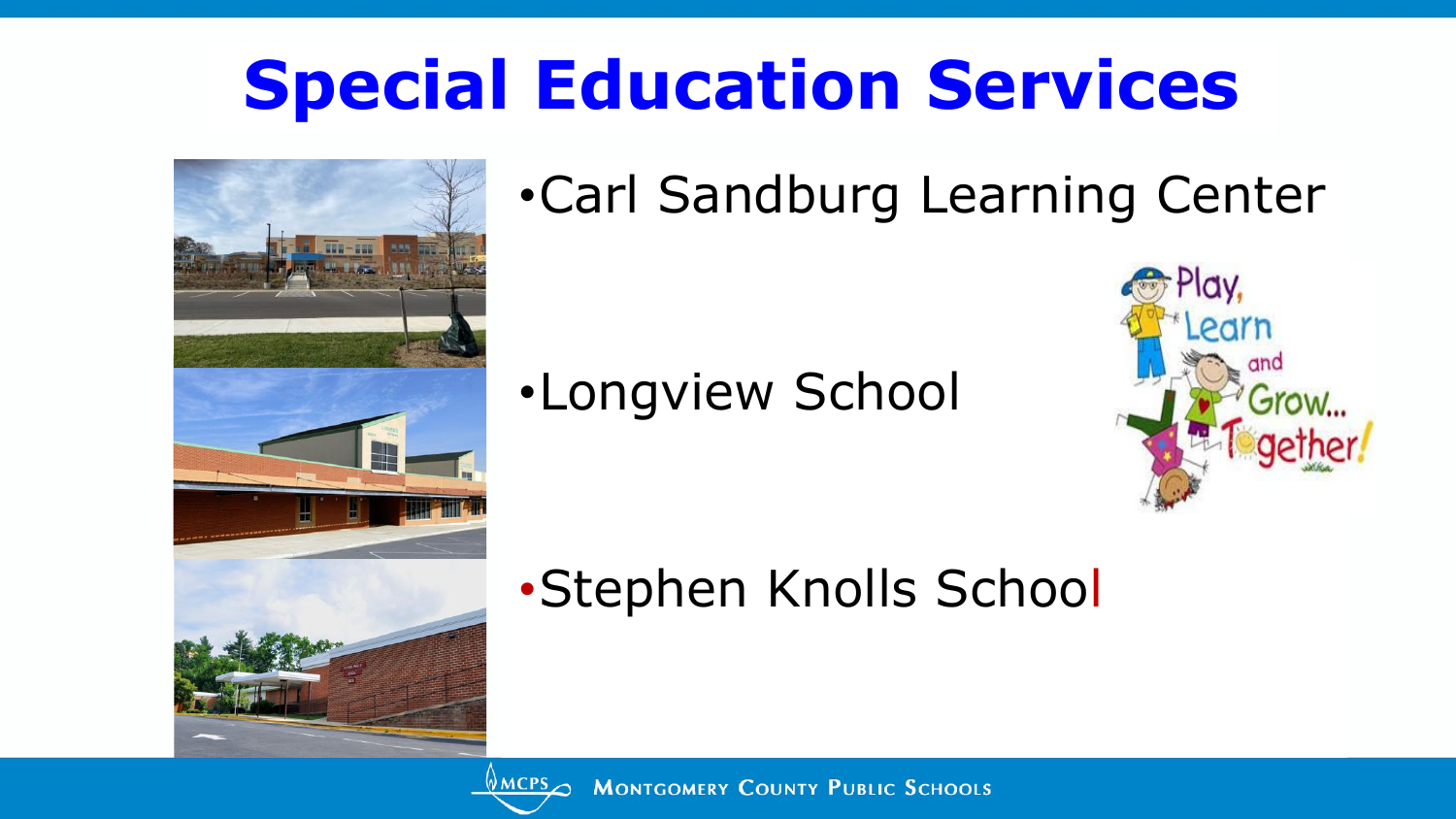

•Carl Sandburg Learning Center

•Longview School



•Stephen Knolls School

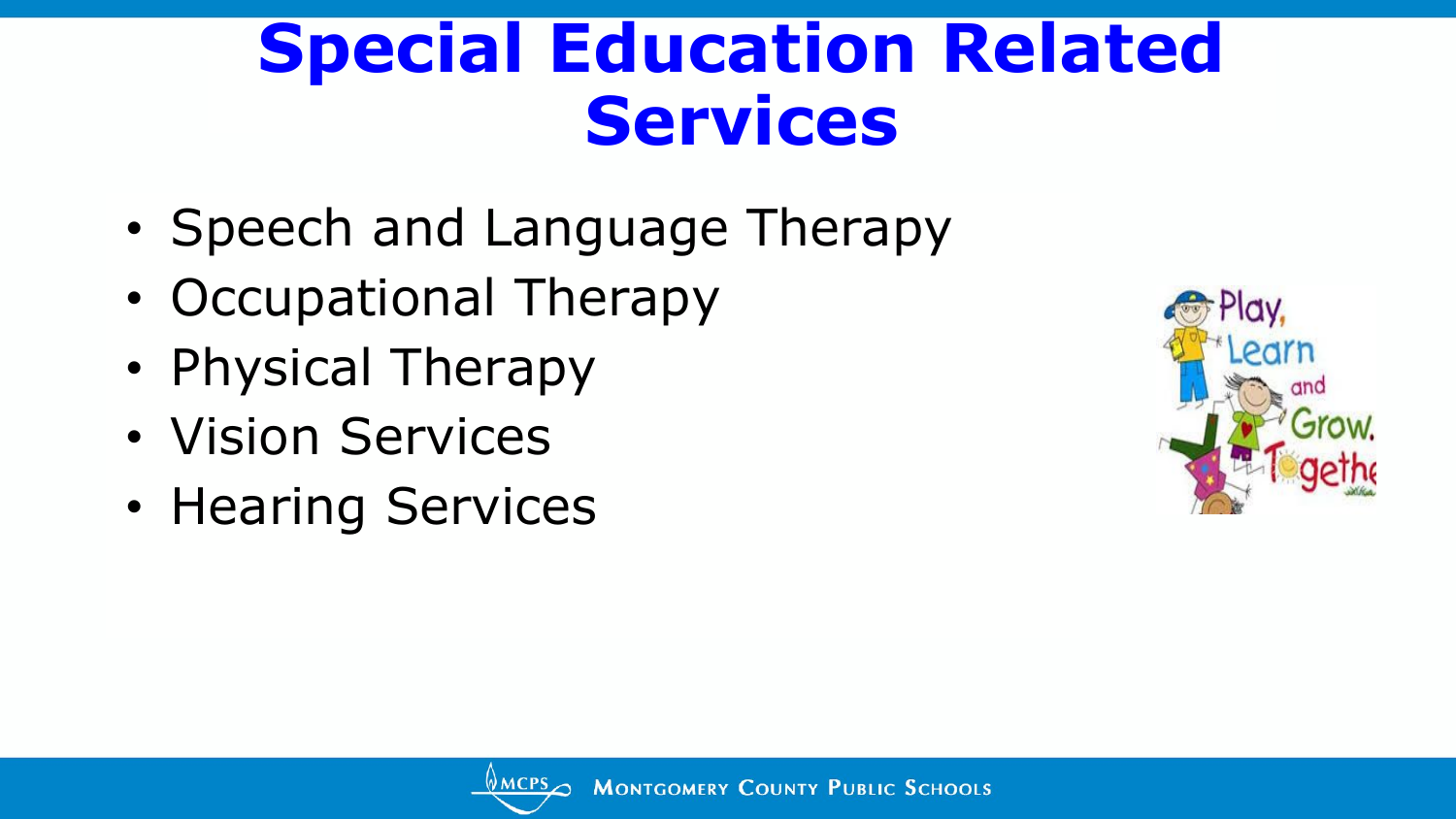### **Special Education Related Services**

- Speech and Language Therapy
- Occupational Therapy
- Physical Therapy
- Vision Services
- Hearing Services

![](_page_20_Picture_6.jpeg)

![](_page_20_Picture_7.jpeg)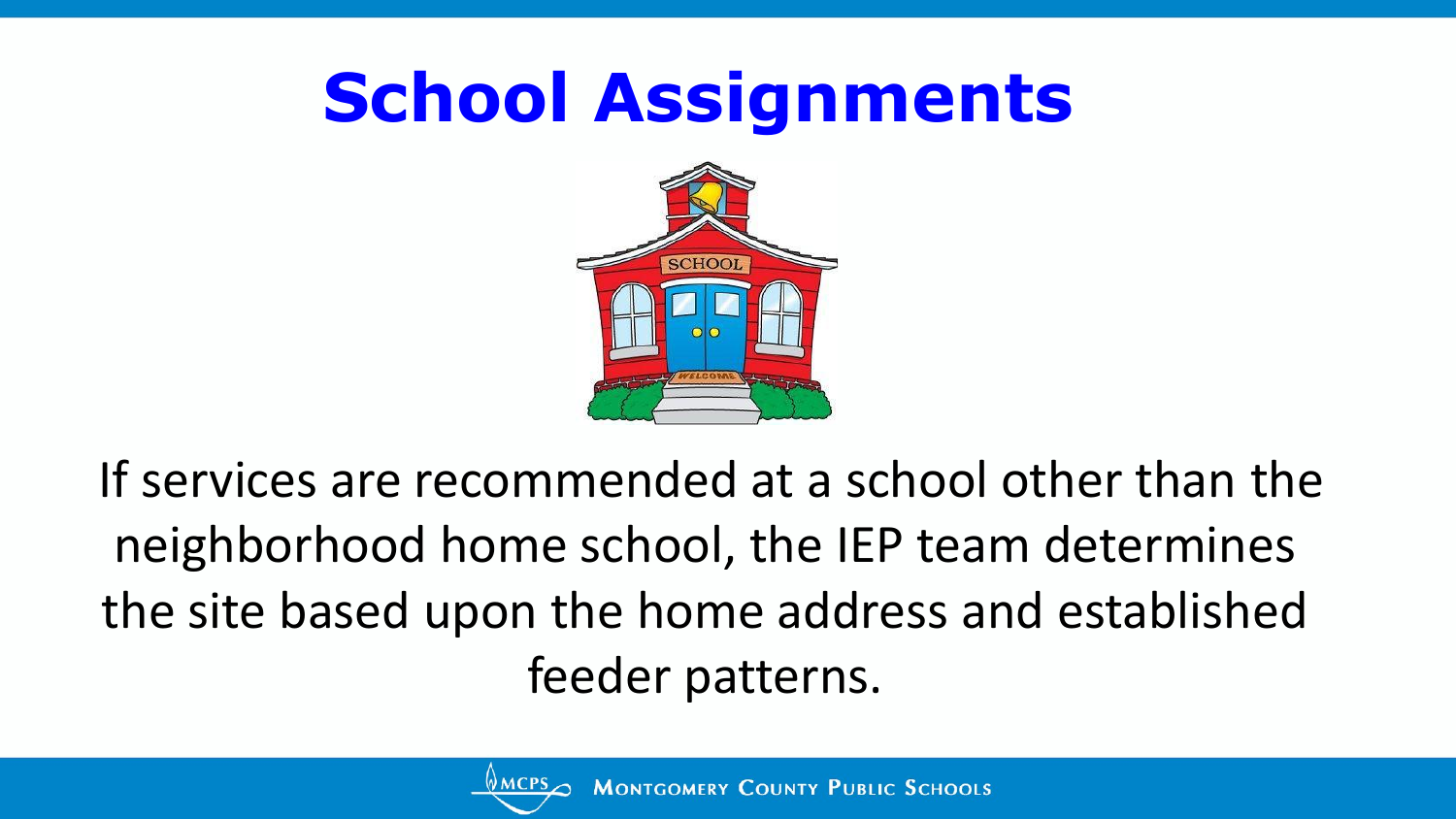## **School Assignments**

![](_page_21_Picture_1.jpeg)

If services are recommended at a school other than the neighborhood home school, the IEP team determines the site based upon the home address and established feeder patterns.

![](_page_21_Picture_3.jpeg)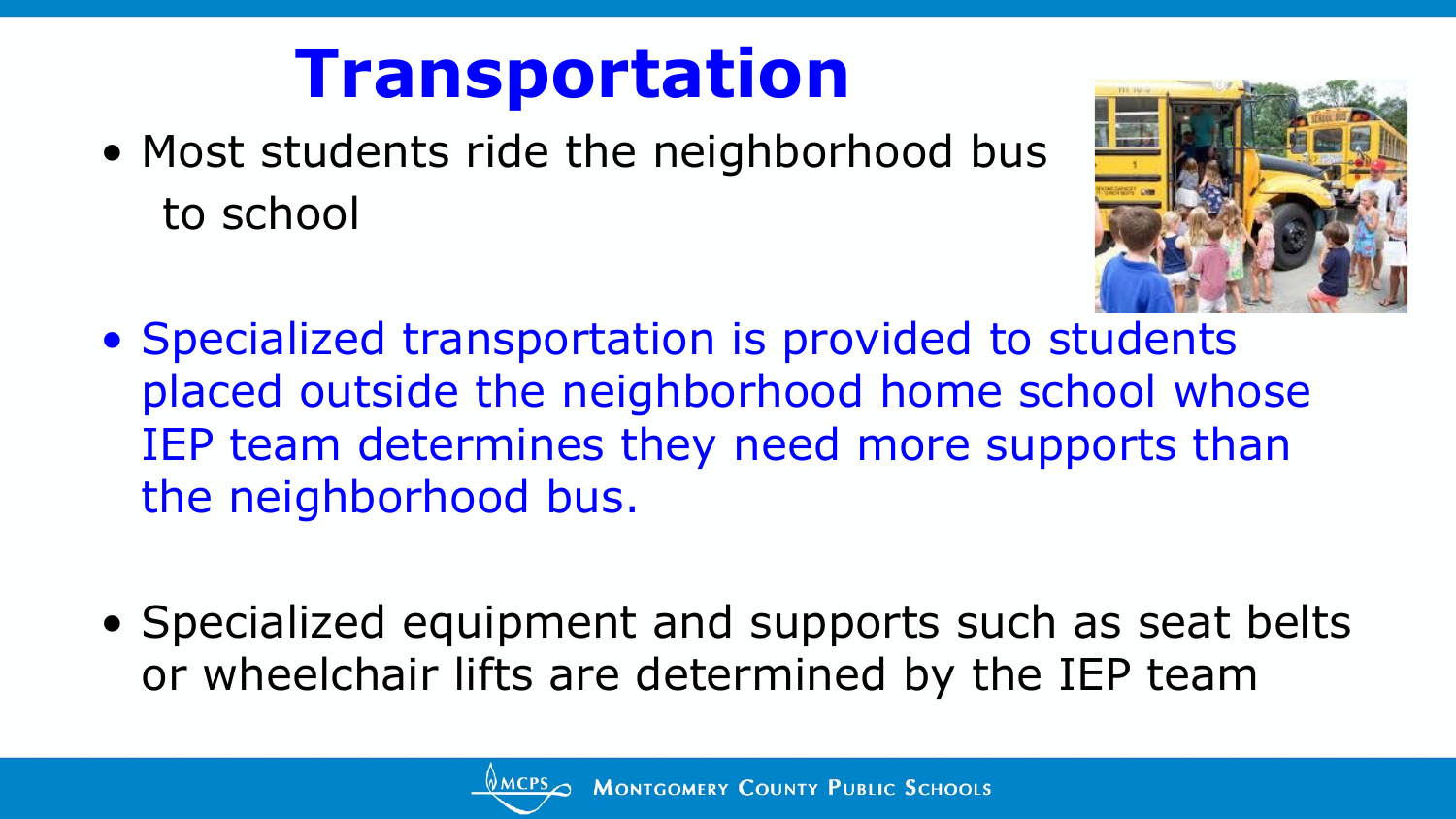## **Transportation**

• Most students ride the neighborhood bus to school

![](_page_22_Picture_2.jpeg)

- Specialized transportation is provided to students placed outside the neighborhood home school whose IEP team determines they need more supports than the neighborhood bus.
- Specialized equipment and supports such as seat belts or wheelchair lifts are determined by the IEP team

![](_page_22_Picture_5.jpeg)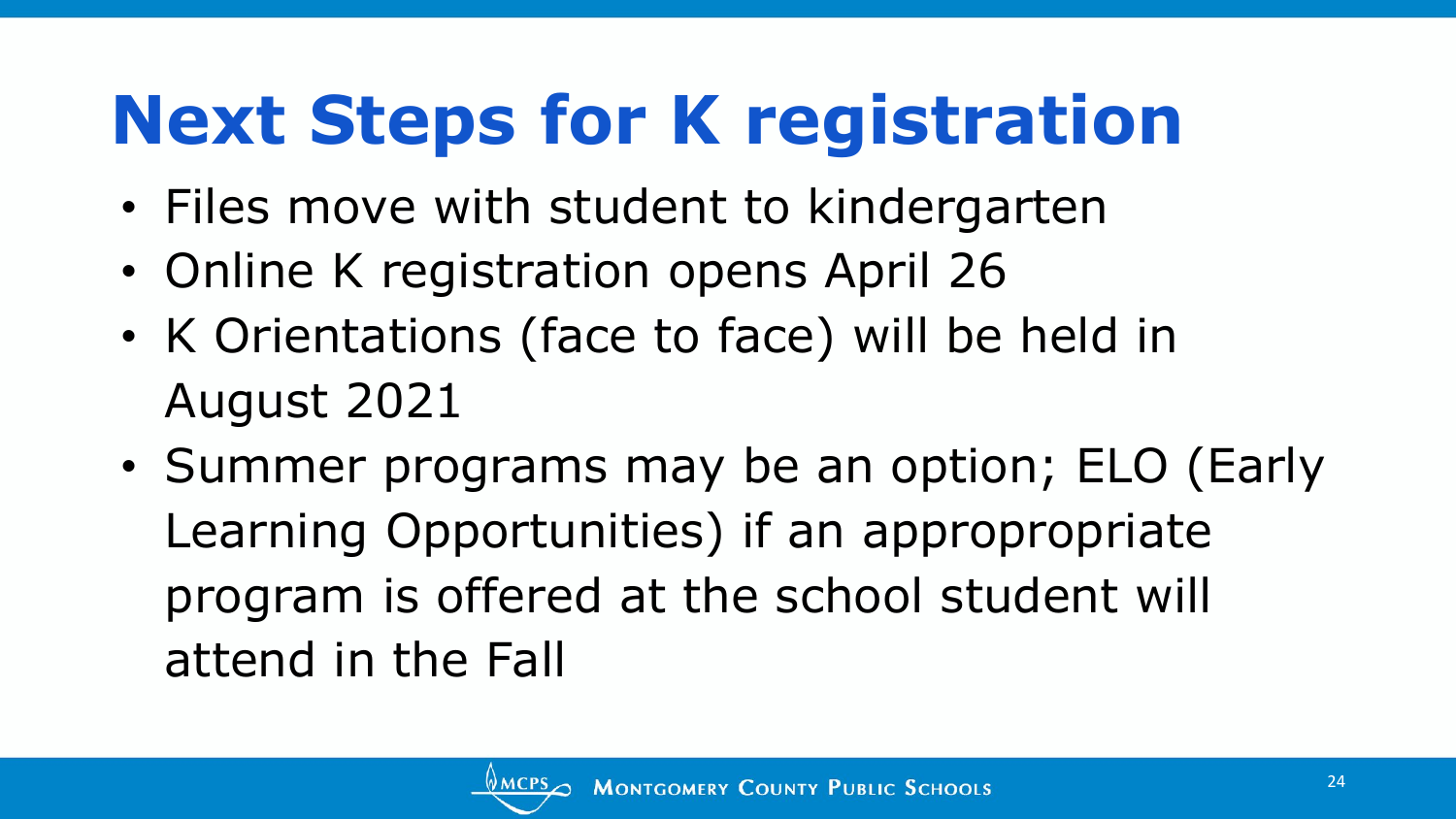## **Next Steps for K registration**

- Files move with student to kindergarten
- Online K registration opens April 26
- K Orientations (face to face) will be held in August 2021
- Summer programs may be an option; ELO (Early Learning Opportunities) if an appropropriate program is offered at the school student will attend in the Fall

![](_page_23_Picture_5.jpeg)